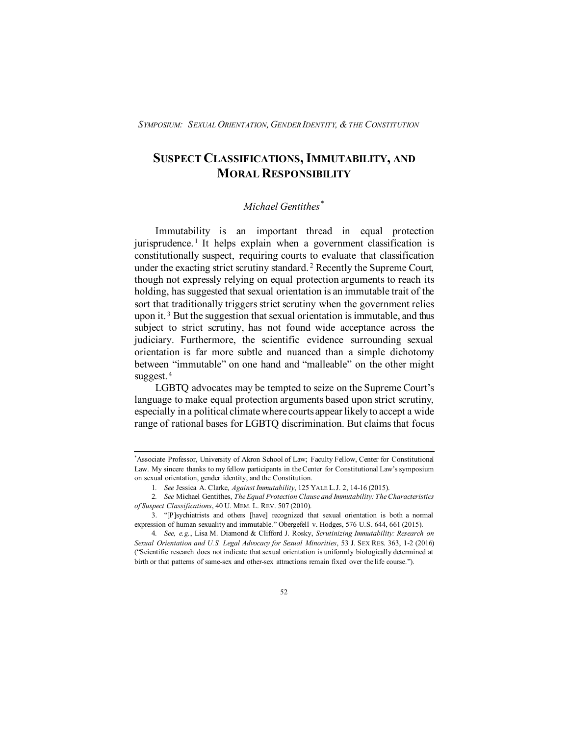# **SUSPECT CLASSIFICATIONS,IMMUTABILITY, AND MORAL RESPONSIBILITY**

## *Michael Gentithes[\\*](#page-0-0)*

Immutability is an important thread in equal protection jurisprudence.<sup>[1](#page-0-1)</sup> It helps explain when a government classification is constitutionally suspect, requiring courts to evaluate that classification under the exacting strict scrutiny standard. [2](#page-0-2) Recently the Supreme Court, though not expressly relying on equal protection arguments to reach its holding, has suggested that sexual orientation is an immutable trait of the sort that traditionally triggers strict scrutiny when the government relies upon it.<sup>[3](#page-0-3)</sup> But the suggestion that sexual orientation is immutable, and thus subject to strict scrutiny, has not found wide acceptance across the judiciary. Furthermore, the scientific evidence surrounding sexual orientation is far more subtle and nuanced than a simple dichotomy between "immutable" on one hand and "malleable" on the other might suggest. [4](#page-0-4)

LGBTQ advocates may be tempted to seize on the Supreme Court's language to make equal protection arguments based upon strict scrutiny, especially in a political climate where courts appear likely to accept a wide range of rational bases for LGBTQ discrimination. But claims that focus

<span id="page-0-0"></span><sup>\*</sup> Associate Professor, University of Akron School of Law; Faculty Fellow, Center for Constitutional Law. My sincere thanks to my fellow participants in the Center for Constitutional Law's symposium on sexual orientation, gender identity, and the Constitution.

<sup>1</sup>*. See* Jessica A. Clarke, *Against Immutability*, 125 YALE L.J. 2, 14-16 (2015).

<span id="page-0-2"></span><span id="page-0-1"></span><sup>2</sup>*. See* Michael Gentithes, *The Equal Protection Clause and Immutability: The Characteristics of Suspect Classifications*, 40 U. MEM. L. REV. 507 (2010).

<span id="page-0-3"></span><sup>3. &</sup>quot;[P]sychiatrists and others [have] recognized that sexual orientation is both a normal expression of human sexuality and immutable." Obergefell v. Hodges, 576 U.S. 644, 661 (2015).

<span id="page-0-4"></span><sup>4</sup>*. See, e.g.*, Lisa M. Diamond & Clifford J. Rosky, *Scrutinizing Immutability: Research on Sexual Orientation and U.S. Legal Advocacy for Sexual Minorities*, 53 J. SEX RES. 363, 1-2 (2016) ("Scientific research does not indicate that sexual orientation is uniformly biologically determined at birth or that patterns of same-sex and other-sex attractions remain fixed over the life course.").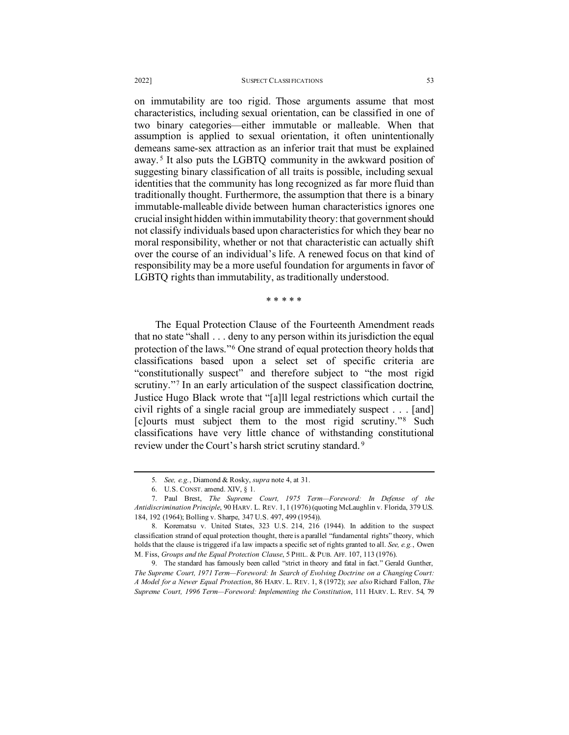### 2022] SUSPECT CLASSI FICATIONS 53

on immutability are too rigid. Those arguments assume that most characteristics, including sexual orientation, can be classified in one of two binary categories—either immutable or malleable. When that assumption is applied to sexual orientation, it often unintentionally demeans same-sex attraction as an inferior trait that must be explained away. [5](#page-1-0) It also puts the LGBTQ community in the awkward position of suggesting binary classification of all traits is possible, including sexual identities that the community has long recognized as far more fluid than traditionally thought. Furthermore, the assumption that there is a binary immutable-malleable divide between human characteristics ignores one crucial insight hidden within immutability theory: that government should not classify individuals based upon characteristics for which they bear no moral responsibility, whether or not that characteristic can actually shift over the course of an individual's life. A renewed focus on that kind of responsibility may be a more useful foundation for arguments in favor of LGBTQ rights than immutability, as traditionally understood.

\* \* \* \* \*

The Equal Protection Clause of the Fourteenth Amendment reads that no state "shall . . . deny to any person within its jurisdiction the equal protection of the laws."[6](#page-1-1) One strand of equal protection theory holds that classifications based upon a select set of specific criteria are "constitutionally suspect" and therefore subject to "the most rigid scrutiny."<sup>[7](#page-1-2)</sup> In an early articulation of the suspect classification doctrine, Justice Hugo Black wrote that "[a]ll legal restrictions which curtail the civil rights of a single racial group are immediately suspect . . . [and] [c]ourts must subject them to the most rigid scrutiny."[8](#page-1-3) Such classifications have very little chance of withstanding constitutional review under the Court's harsh strict scrutiny standard. [9](#page-1-4)

<sup>5</sup>*. See, e.g.*, Diamond & Rosky, *supra* note 4, at 31.

<sup>6.</sup> U.S. CONST. amend. XIV, § 1.

<span id="page-1-2"></span><span id="page-1-1"></span><span id="page-1-0"></span><sup>7.</sup> Paul Brest, *The Supreme Court, 1975 Term—Foreword: In Defense of the Antidiscrimination Principle*, 90 HARV. L. REV. 1, 1 (1976) (quoting McLaughlin v. Florida, 379 U.S. 184, 192 (1964); Bolling v. Sharpe, 347 U.S. 497, 499 (1954)).

<span id="page-1-3"></span><sup>8.</sup> Korematsu v. United States, 323 U.S. 214, 216 (1944). In addition to the suspect classification strand of equal protection thought, there is a parallel "fundamental rights" theory, which holds that the clause is triggered if a law impacts a specific set of rights granted to all. *See, e.g.*, Owen M. Fiss, *Groups and the Equal Protection Clause*, 5 PHIL. & PUB. AFF. 107, 113 (1976).

<span id="page-1-4"></span><sup>9.</sup> The standard has famously been called "strict in theory and fatal in fact." Gerald Gunther, *The Supreme Court, 1971 Term—Foreword: In Search of Evolving Doctrine on a Changing Court: A Model for a Newer Equal Protection*, 86 HARV. L. REV. 1, 8 (1972); *see also* Richard Fallon, *The Supreme Court, 1996 Term—Foreword: Implementing the Constitution*, 111 HARV. L. REV. 54, 79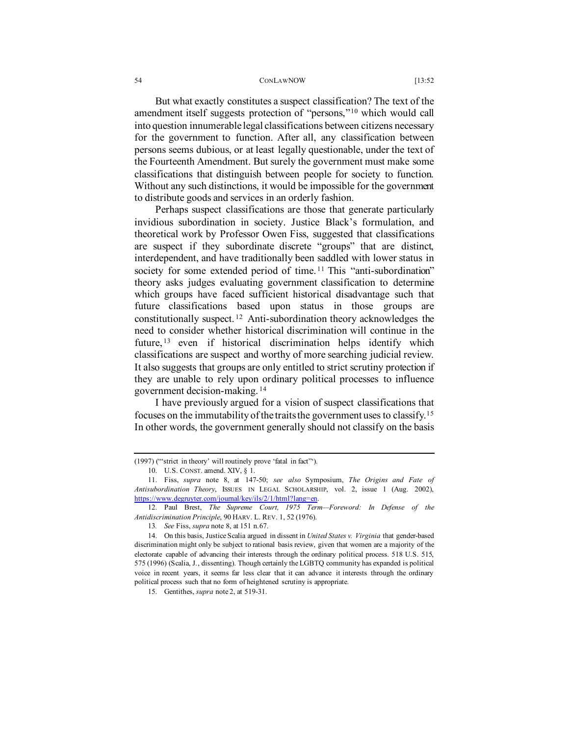#### 54 CONLAWNOW [13:52

But what exactly constitutes a suspect classification? The text of the amendment itself suggests protection of "persons,"[10](#page-2-0) which would call into question innumerable legal classifications between citizens necessary for the government to function. After all, any classification between persons seems dubious, or at least legally questionable, under the text of the Fourteenth Amendment. But surely the government must make some classifications that distinguish between people for society to function. Without any such distinctions, it would be impossible for the government to distribute goods and services in an orderly fashion.

Perhaps suspect classifications are those that generate particularly invidious subordination in society. Justice Black's formulation, and theoretical work by Professor Owen Fiss, suggested that classifications are suspect if they subordinate discrete "groups" that are distinct, interdependent, and have traditionally been saddled with lower status in society for some extended period of time.<sup>[11](#page-2-1)</sup> This "anti-subordination" theory asks judges evaluating government classification to determine which groups have faced sufficient historical disadvantage such that future classifications based upon status in those groups are constitutionally suspect. [12](#page-2-2) Anti-subordination theory acknowledges the need to consider whether historical discrimination will continue in the future, [13](#page-2-3) even if historical discrimination helps identify which classifications are suspect and worthy of more searching judicial review. It also suggests that groups are only entitled to strict scrutiny protection if they are unable to rely upon ordinary political processes to influence government decision-making. [14](#page-2-4)

I have previously argued for a vision of suspect classifications that focuses on the immutability of the traits the government uses to classify.[15](#page-2-5) In other words, the government generally should not classify on the basis

<span id="page-2-0"></span><sup>(1997) (&</sup>quot;'strict in theory' will routinely prove 'fatal in fact"').

<sup>10.</sup> U.S. CONST. amend. XIV, § 1.

<span id="page-2-1"></span><sup>11.</sup> Fiss, *supra* note 8, at 147-50; *see also* Symposium, *The Origins and Fate of Antisubordination Theory*, ISSUES IN LEGAL SCHOLARSHIP, vol. 2, issue 1 (Aug. 2002), [https://www.degruyter.com/journal/key/ils/2/1/html?lang=en.](https://www.degruyter.com/journal/key/ils/2/1/html?lang=en)

<span id="page-2-2"></span><sup>12.</sup> Paul Brest, *The Supreme Court, 1975 Term—Foreword: In Defense of the Antidiscrimination Principle*, 90 HARV. L. REV. 1, 52 (1976).

<sup>13</sup>*. See* Fiss, *supra* note 8, at 151 n.67.

<span id="page-2-5"></span><span id="page-2-4"></span><span id="page-2-3"></span><sup>14.</sup> On this basis, Justice Scalia argued in dissent in *United States v. Virginia* that gender-based discrimination might only be subject to rational basis review, given that women are a majority of the electorate capable of advancing their interests through the ordinary political process. 518 U.S. 515, 575 (1996) (Scalia, J., dissenting). Though certainly the LGBTQ community has expanded is political voice in recent years, it seems far less clear that it can advance it interests through the ordinary political process such that no form of heightened scrutiny is appropriate.

<sup>15.</sup> Gentithes, *supra* note 2, at 519-31.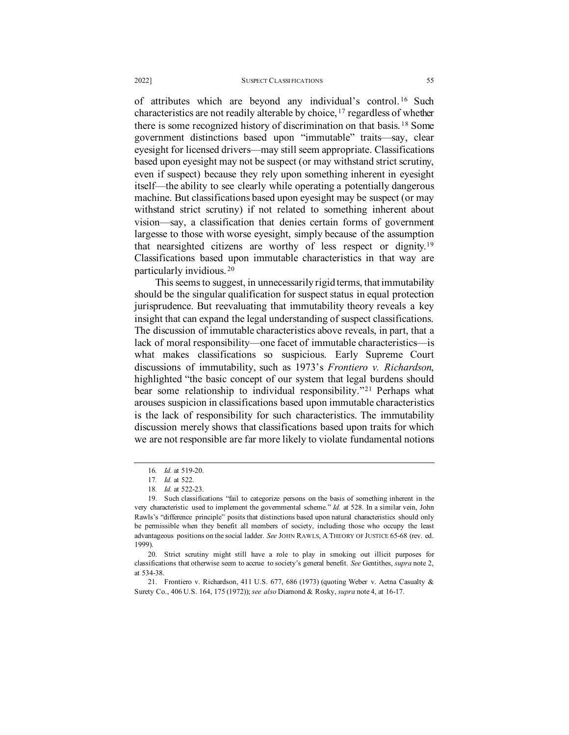of attributes which are beyond any individual's control. [16](#page-3-0) Such characteristics are not readily alterable by choice, [17](#page-3-1) regardless of whether there is some recognized history of discrimination on that basis. [18](#page-3-2) Some government distinctions based upon "immutable" traits—say, clear eyesight for licensed drivers—may still seem appropriate. Classifications based upon eyesight may not be suspect (or may withstand strict scrutiny, even if suspect) because they rely upon something inherent in eyesight itself—the ability to see clearly while operating a potentially dangerous machine. But classifications based upon eyesight may be suspect (or may withstand strict scrutiny) if not related to something inherent about vision—say, a classification that denies certain forms of government largesse to those with worse eyesight, simply because of the assumption that nearsighted citizens are worthy of less respect or dignity. [19](#page-3-3) Classifications based upon immutable characteristics in that way are particularly invidious. [20](#page-3-4)

This seems to suggest, in unnecessarily rigid terms, that immutability should be the singular qualification for suspect status in equal protection jurisprudence. But reevaluating that immutability theory reveals a key insight that can expand the legal understanding of suspect classifications. The discussion of immutable characteristics above reveals, in part, that a lack of moral responsibility—one facet of immutable characteristics—is what makes classifications so suspicious. Early Supreme Court discussions of immutability, such as 1973's *Frontiero v. Richardson*, highlighted "the basic concept of our system that legal burdens should bear some relationship to individual responsibility."<sup>[21](#page-3-5)</sup> Perhaps what arouses suspicion in classifications based upon immutable characteristics is the lack of responsibility for such characteristics. The immutability discussion merely shows that classifications based upon traits for which we are not responsible are far more likely to violate fundamental notions

<sup>16</sup>*. Id.* at 519-20.

<sup>17</sup>*. Id.* at 522.

<sup>18</sup>*. Id.* at 522-23.

<span id="page-3-3"></span><span id="page-3-2"></span><span id="page-3-1"></span><span id="page-3-0"></span><sup>19.</sup> Such classifications "fail to categorize persons on the basis of something inherent in the very characteristic used to implement the governmental scheme." *Id.* at 528. In a similar vein, John Rawls's "difference principle" posits that distinctions based upon natural characteristics should only be permissible when they benefit all members of society, including those who occupy the least advantageous positions on the social ladder. *See* JOHN RAWLS, A THEORY OF JUSTICE 65-68 (rev. ed. 1999).

<span id="page-3-4"></span><sup>20.</sup> Strict scrutiny might still have a role to play in smoking out illicit purposes for classifications that otherwise seem to accrue to society's general benefit. *See* Gentithes, *supra* note 2, at 534-38.

<span id="page-3-5"></span><sup>21.</sup> Frontiero v. Richardson, 411 U.S. 677, 686 (1973) (quoting Weber v. Aetna Casualty & Surety Co., 406 U.S. 164, 175 (1972)); *see also* Diamond & Rosky, *supra* note 4, at 16-17.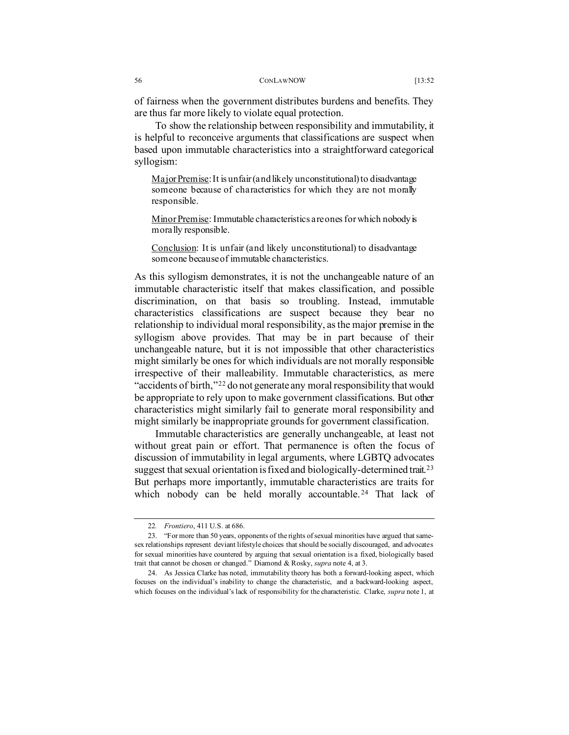To show the relationship between responsibility and immutability, it is helpful to reconceive arguments that classifications are suspect when based upon immutable characteristics into a straightforward categorical syllogism:

Major Premise: It is unfair (and likely unconstitutional) to disadvantage someone because of characteristics for which they are not morally responsible.

Minor Premise: Immutable characteristics are ones for which nobody is morally responsible.

Conclusion: It is unfair (and likely unconstitutional) to disadvantage someone because of immutable characteristics.

As this syllogism demonstrates, it is not the unchangeable nature of an immutable characteristic itself that makes classification, and possible discrimination, on that basis so troubling. Instead, immutable characteristics classifications are suspect because they bear no relationship to individual moral responsibility, as the major premise in the syllogism above provides. That may be in part because of their unchangeable nature, but it is not impossible that other characteristics might similarly be ones for which individuals are not morally responsible irrespective of their malleability. Immutable characteristics, as mere "accidents of birth,"[22](#page-4-0) do not generate any moral responsibility that would be appropriate to rely upon to make government classifications. But other characteristics might similarly fail to generate moral responsibility and might similarly be inappropriate grounds for government classification.

Immutable characteristics are generally unchangeable, at least not without great pain or effort. That permanence is often the focus of discussion of immutability in legal arguments, where LGBTQ advocates suggest that sexual orientation is fixed and biologically-determined trait.<sup>[23](#page-4-1)</sup> But perhaps more importantly, immutable characteristics are traits for which nobody can be held morally accountable.<sup>[24](#page-4-2)</sup> That lack of

<sup>22</sup>*. Frontiero*, 411 U.S. at 686.

<span id="page-4-1"></span><span id="page-4-0"></span><sup>23. &</sup>quot;For more than 50 years, opponents of the rights of sexual minorities have argued that samesex relationships represent deviant lifestyle choices that should be socially discouraged, and advocates for sexual minorities have countered by arguing that sexual orientation is a fixed, biologically based trait that cannot be chosen or changed." Diamond & Rosky, *supra* note 4, at 3.

<span id="page-4-2"></span><sup>24.</sup> As Jessica Clarke has noted, immutability theory has both a forward-looking aspect, which focuses on the individual's inability to change the characteristic, and a backward-looking aspect, which focuses on the individual's lack of responsibility for the characteristic. Clarke, *supra* note 1, at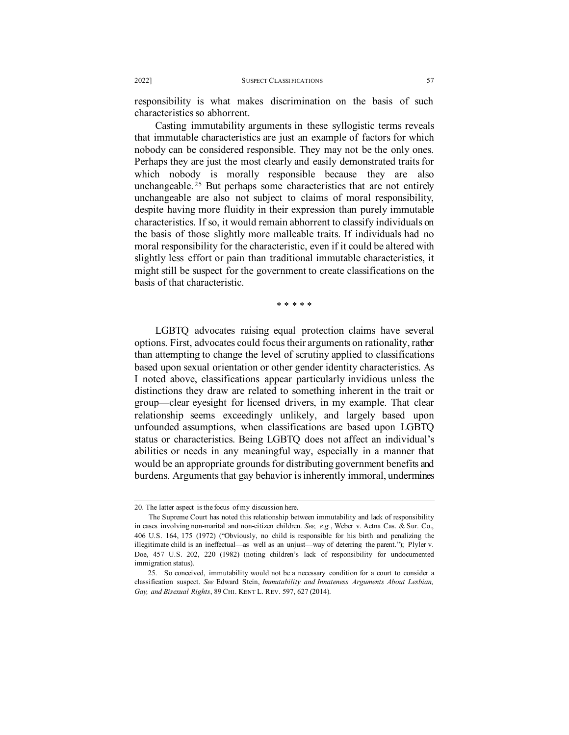responsibility is what makes discrimination on the basis of such characteristics so abhorrent.

Casting immutability arguments in these syllogistic terms reveals that immutable characteristics are just an example of factors for which nobody can be considered responsible. They may not be the only ones. Perhaps they are just the most clearly and easily demonstrated traits for which nobody is morally responsible because they are also unchangeable.<sup>[25](#page-5-0)</sup> But perhaps some characteristics that are not entirely unchangeable are also not subject to claims of moral responsibility, despite having more fluidity in their expression than purely immutable characteristics. If so, it would remain abhorrent to classify individuals on the basis of those slightly more malleable traits. If individuals had no moral responsibility for the characteristic, even if it could be altered with slightly less effort or pain than traditional immutable characteristics, it might still be suspect for the government to create classifications on the basis of that characteristic.

\* \* \* \* \*

LGBTQ advocates raising equal protection claims have several options. First, advocates could focus their arguments on rationality, rather than attempting to change the level of scrutiny applied to classifications based upon sexual orientation or other gender identity characteristics. As I noted above, classifications appear particularly invidious unless the distinctions they draw are related to something inherent in the trait or group—clear eyesight for licensed drivers, in my example. That clear relationship seems exceedingly unlikely, and largely based upon unfounded assumptions, when classifications are based upon LGBTQ status or characteristics. Being LGBTQ does not affect an individual's abilities or needs in any meaningful way, especially in a manner that would be an appropriate grounds for distributing government benefits and burdens. Arguments that gay behavior is inherently immoral, undermines

<sup>20.</sup> The latter aspect is the focus of my discussion here.

The Supreme Court has noted this relationship between immutability and lack of responsibility in cases involving non-marital and non-citizen children. *See, e.g.*, Weber v. Aetna Cas. & Sur. Co., 406 U.S. 164, 175 (1972) ("Obviously, no child is responsible for his birth and penalizing the illegitimate child is an ineffectual—as well as an unjust—way of deterring the parent."); Plyler v. Doe, 457 U.S. 202, 220 (1982) (noting children's lack of responsibility for undocumented immigration status).

<span id="page-5-0"></span><sup>25.</sup> So conceived, immutability would not be a necessary condition for a court to consider a classification suspect. *See* Edward Stein, *Immutability and Innateness Arguments About Lesbian, Gay, and Bisexual Rights*, 89 CHI. KENT L. REV. 597, 627 (2014).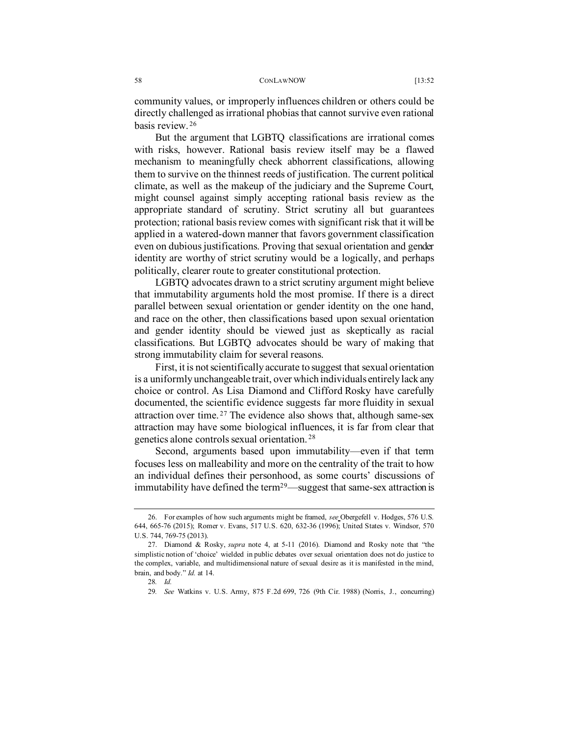#### 58 CONLAWNOW [13:52

community values, or improperly influences children or others could be directly challenged as irrational phobias that cannot survive even rational basis review. [26](#page-6-0)

But the argument that LGBTQ classifications are irrational comes with risks, however. Rational basis review itself may be a flawed mechanism to meaningfully check abhorrent classifications, allowing them to survive on the thinnest reeds of justification. The current political climate, as well as the makeup of the judiciary and the Supreme Court, might counsel against simply accepting rational basis review as the appropriate standard of scrutiny. Strict scrutiny all but guarantees protection; rational basis review comes with significant risk that it will be applied in a watered-down manner that favors government classification even on dubious justifications. Proving that sexual orientation and gender identity are worthy of strict scrutiny would be a logically, and perhaps politically, clearer route to greater constitutional protection.

LGBTQ advocates drawn to a strict scrutiny argument might believe that immutability arguments hold the most promise. If there is a direct parallel between sexual orientation or gender identity on the one hand, and race on the other, then classifications based upon sexual orientation and gender identity should be viewed just as skeptically as racial classifications. But LGBTQ advocates should be wary of making that strong immutability claim for several reasons.

First, it is not scientifically accurate to suggest that sexual orientation is a uniformly unchangeable trait, over which individuals entirely lack any choice or control. As Lisa Diamond and Clifford Rosky have carefully documented, the scientific evidence suggests far more fluidity in sexual attraction over time. [27](#page-6-1) The evidence also shows that, although same-sex attraction may have some biological influences, it is far from clear that genetics alone controls sexual orientation. [28](#page-6-2)

Second, arguments based upon immutability—even if that term focuses less on malleability and more on the centrality of the trait to how an individual defines their personhood, as some courts' discussions of immutability have defined the term<sup>29</sup>—suggest that same-sex attraction is

<span id="page-6-0"></span><sup>26.</sup> For examples of how such arguments might be framed, *see* Obergefell v. Hodges, 576 U.S. 644, 665-76 (2015); Romer v. Evans, 517 U.S. 620, 632-36 (1996); United States v. Windsor, 570 U.S. 744, 769-75 (2013).

<span id="page-6-3"></span><span id="page-6-2"></span><span id="page-6-1"></span><sup>27.</sup> Diamond & Rosky, *supra* note 4, at 5-11 (2016). Diamond and Rosky note that "the simplistic notion of 'choice' wielded in public debates over sexual orientation does not do justice to the complex, variable, and multidimensional nature of sexual desire as it is manifested in the mind, brain, and body." *Id.* at 14.

<sup>28</sup>*. Id.*

<sup>29</sup>*. See* Watkins v. U.S. Army, 875 F.2d 699, 726 (9th Cir. 1988) (Norris, J., concurring)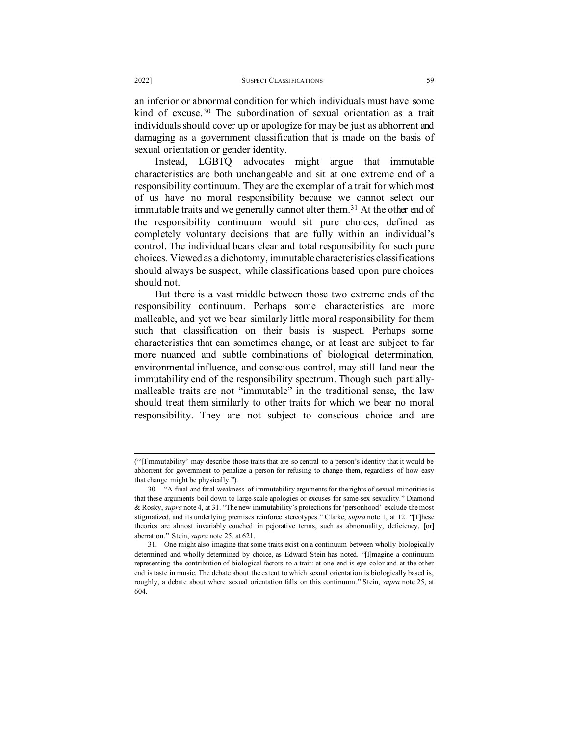an inferior or abnormal condition for which individuals must have some kind of excuse.<sup>[30](#page-7-0)</sup> The subordination of sexual orientation as a trait individuals should cover up or apologize for may be just as abhorrent and damaging as a government classification that is made on the basis of sexual orientation or gender identity.

Instead, LGBTQ advocates might argue that immutable characteristics are both unchangeable and sit at one extreme end of a responsibility continuum. They are the exemplar of a trait for which most of us have no moral responsibility because we cannot select our immutable traits and we generally cannot alter them.<sup>[31](#page-7-1)</sup> At the other end of the responsibility continuum would sit pure choices, defined as completely voluntary decisions that are fully within an individual's control. The individual bears clear and total responsibility for such pure choices. Viewed as a dichotomy, immutable characteristics classifications should always be suspect, while classifications based upon pure choices should not.

But there is a vast middle between those two extreme ends of the responsibility continuum. Perhaps some characteristics are more malleable, and yet we bear similarly little moral responsibility for them such that classification on their basis is suspect. Perhaps some characteristics that can sometimes change, or at least are subject to far more nuanced and subtle combinations of biological determination, environmental influence, and conscious control, may still land near the immutability end of the responsibility spectrum. Though such partiallymalleable traits are not "immutable" in the traditional sense, the law should treat them similarly to other traits for which we bear no moral responsibility. They are not subject to conscious choice and are

<sup>(&</sup>quot;'[I]mmutability' may describe those traits that are so central to a person's identity that it would be abhorrent for government to penalize a person for refusing to change them, regardless of how easy that change might be physically.").

<span id="page-7-0"></span><sup>30. &</sup>quot;A final and fatal weakness of immutability arguments for the rights of sexual minorities is that these arguments boil down to large-scale apologies or excuses for same-sex sexuality." Diamond & Rosky, *supra* note 4, at 31. "The new immutability's protections for 'personhood' exclude the most stigmatized, and its underlying premises reinforce stereotypes." Clarke, *supra* note 1, at 12. "[T]hese theories are almost invariably couched in pejorative terms, such as abnormality, deficiency, [or] aberration." Stein, *supra* note 25, at 621.

<span id="page-7-1"></span><sup>31.</sup> One might also imagine that some traits exist on a continuum between wholly biologically determined and wholly determined by choice, as Edward Stein has noted. "[I]magine a continuum representing the contribution of biological factors to a trait: at one end is eye color and at the other end is taste in music. The debate about the extent to which sexual orientation is biologically based is, roughly, a debate about where sexual orientation falls on this continuum." Stein, *supra* note 25, at 604.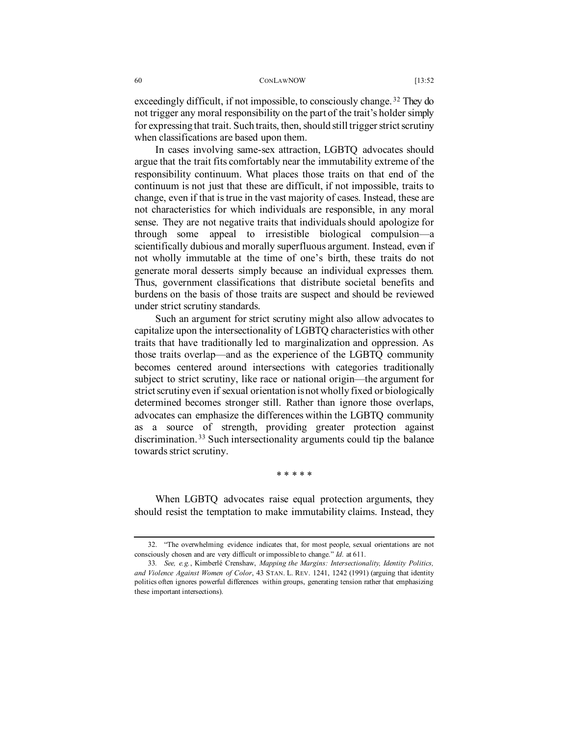#### 60 CONLAWNOW [13:52

exceedingly difficult, if not impossible, to consciously change.<sup>[32](#page-8-0)</sup> They do not trigger any moral responsibility on the part of the trait's holder simply for expressing that trait. Such traits, then, should still trigger strict scrutiny when classifications are based upon them.

In cases involving same-sex attraction, LGBTQ advocates should argue that the trait fits comfortably near the immutability extreme of the responsibility continuum. What places those traits on that end of the continuum is not just that these are difficult, if not impossible, traits to change, even if that is true in the vast majority of cases. Instead, these are not characteristics for which individuals are responsible, in any moral sense. They are not negative traits that individuals should apologize for through some appeal to irresistible biological compulsion—a scientifically dubious and morally superfluous argument. Instead, even if not wholly immutable at the time of one's birth, these traits do not generate moral desserts simply because an individual expresses them. Thus, government classifications that distribute societal benefits and burdens on the basis of those traits are suspect and should be reviewed under strict scrutiny standards.

Such an argument for strict scrutiny might also allow advocates to capitalize upon the intersectionality of LGBTQ characteristics with other traits that have traditionally led to marginalization and oppression. As those traits overlap—and as the experience of the LGBTQ community becomes centered around intersections with categories traditionally subject to strict scrutiny, like race or national origin—the argument for strict scrutiny even if sexual orientation is not wholly fixed or biologically determined becomes stronger still. Rather than ignore those overlaps, advocates can emphasize the differences within the LGBTQ community as a source of strength, providing greater protection against discrimination. [33](#page-8-1) Such intersectionality arguments could tip the balance towards strict scrutiny.

\* \* \* \* \*

When LGBTQ advocates raise equal protection arguments, they should resist the temptation to make immutability claims. Instead, they

<span id="page-8-0"></span><sup>32. &</sup>quot;The overwhelming evidence indicates that, for most people, sexual orientations are not consciously chosen and are very difficult or impossible to change." *Id*. at 611.

<span id="page-8-1"></span><sup>33</sup>*. See, e.g.*, Kimberlé Crenshaw, *Mapping the Margins: Intersectionality, Identity Politics, and Violence Against Women of Color*, 43 STAN. L. REV. 1241, 1242 (1991) (arguing that identity politics often ignores powerful differences within groups, generating tension rather that emphasizing these important intersections).